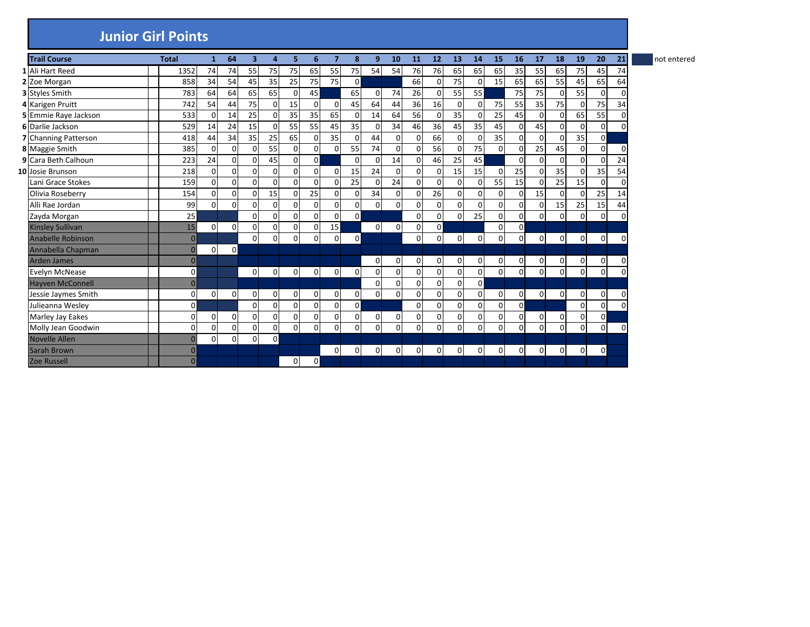## **Junior Girl Points**

| <b>Trail Course</b>     | <b>Total</b>   | $\mathbf{1}$   | 64          | 3              | 4              | 5.             | 6            | $\overline{7}$ | 8              | 9           | 10             | 11             | 12           | 13          | 14       | 15             | 16             | 17          | 18             | 19             | 20             | 21       | not entered |
|-------------------------|----------------|----------------|-------------|----------------|----------------|----------------|--------------|----------------|----------------|-------------|----------------|----------------|--------------|-------------|----------|----------------|----------------|-------------|----------------|----------------|----------------|----------|-------------|
| 1 Ali Hart Reed         | 1352           | 74             | 74          | 55             | 75             | 75             | 65           | 55             | 75             | 54          | 54             | 76             | 76           | 65          | 65       | 65             | 35             | 55          | 65             | 75             | 45             | 74       |             |
| 2 Zoe Morgan            | 858            | 34             | 54          | 45             | 35             | 25             | 75           | 75             | $\overline{0}$ |             |                | 66             | 0            | 75          |          | 15             | 65             | 65          | 55             | 45             | 65             | 64       |             |
| 3 Styles Smith          | 783            | 64             | 64          | 65             | 65             | 0              | 45           |                | 65             | $\mathbf 0$ | 74             | 26             | 0            | 55          | 55       |                | 75             | 75          | $\Omega$       | 55             | $\mathbf 0$    | $\Omega$ |             |
| 4 Karigen Pruitt        | 742            | 54             | 44          | 75             | 0              | 15             | $\Omega$     | 0              | 45             | 64          | 44             | 36             | 16           | $\mathbf 0$ |          | 75             | 55             | 35          | 75             | $\Omega$       | 75             | 34       |             |
| 5 Emmie Raye Jackson    | 533            | $\Omega$       | 14          | 25             | $\Omega$       | 35             | 35           | 65             | $\Omega$       | 14          | 64             | 56             | $\Omega$     | 35          |          | 25             | 45             | $\Omega$    | $\Omega$       | 65             | 55             | $\Omega$ |             |
| 6 Darlie Jackson        | 529            | 14             | 24          | 15             | $\overline{0}$ | 55             | 55           | 45             | 35             | 0           | 34             | 46             | 36           | 45          | 35       | 45             | $\overline{0}$ | 45          | $\Omega$       | 0              | $\mathbf 0$    | $\Omega$ |             |
| 7 Channing Patterson    | 418            | 44             | 34          | 35             | 25             | 65             | 0            | 35             | $\mathbf{0}$   | 44          | $\Omega$       | 0              | 66           | 0           | $\Omega$ | 35             | $\overline{0}$ | $\mathbf 0$ | $\overline{0}$ | 35             | $\overline{0}$ |          |             |
| 8 Maggie Smith          | 385            | $\Omega$       | $\Omega$    | O              | 55             | 0              | $\Omega$     | 0              | 55             | 74          | $\Omega$       | 0              | 56           | $\Omega$    | 75       | $\Omega$       | $\Omega$       | 25          | 45             | $\overline{0}$ | $\Omega$       | $\Omega$ |             |
| 9 Cara Beth Calhoun     | 223            | 24             | $\mathbf 0$ | $\Omega$       | 45             | $\Omega$       | $\Omega$     |                | $\Omega$       | 0           | 14             | $\Omega$       | 46           | 25          | 45       |                | $\Omega$       | $\Omega$    | $\Omega$       | $\Omega$       | $\Omega$       | 24       |             |
| 10 Josie Brunson        | 218            | $\overline{0}$ | $\mathbf 0$ | $\Omega$       | $\mathbf 0$    | $\overline{0}$ | $\Omega$     | $\mathsf{o}$   | 15             | 24          | 0              | $\overline{0}$ | $\mathbf 0$  | 15          | 15       | $\Omega$       | 25             | 0           | 35             | $\overline{0}$ | 35             | 54       |             |
| Lani Grace Stokes       | 159            | $\mathbf 0$    | $\mathbf 0$ | $\Omega$       | $\Omega$       | 0              | $\Omega$     | $\mathsf{o}$   | 25             | 0           | 24             | $\Omega$       | $\Omega$     | $\Omega$    |          | 55             | 15             | $\mathbf 0$ | 25             | 15             | 0              | $\Omega$ |             |
| Olivia Roseberry        | 154            | $\mathbf 0$    | $\mathbf 0$ | $\Omega$       | 15             | 0              | 25           | <sub>0</sub>   | $\overline{0}$ | 34          | $\overline{0}$ | 0              | 26           | 0           | $\Omega$ | 0              | $\mathbf 0$    | 15          | $\Omega$       | $\Omega$       | 25             | 14       |             |
| Alli Rae Jordan         | 99             | $\overline{0}$ | $\mathbf 0$ | $\Omega$       | $\mathbf 0$    | 0              | $\Omega$     | οI             | $\overline{0}$ | 0           | $\Omega$       | 0              | $\mathbf 0$  | 0           |          | 0              | $\overline{0}$ | 0           | 15             | 25             | 15             | 44       |             |
| Zayda Morgan            | 25             |                |             | $\Omega$       | $\overline{0}$ | $\overline{0}$ | $\Omega$     | <sub>0</sub>   | $\overline{0}$ |             |                | 0              | $\Omega$     | $\mathbf 0$ | 25       | 0              | $\overline{0}$ | $\Omega$    | $\Omega$       | $\mathbf{0}$   | $\mathbf 0$    | $\Omega$ |             |
| <b>Kinsley Sullivan</b> | 15             | $\mathbf 0$    | $\mathbf 0$ | $\Omega$       | $\Omega$       | $\overline{0}$ | $\Omega$     | 15             |                | $\Omega$    | $\overline{0}$ | 0              | $\mathsf{O}$ |             |          | 0              | $\overline{0}$ |             |                |                |                |          |             |
| Anabelle Robinson       | $\overline{0}$ |                |             | $\Omega$       | $\mathbf 0$    | 0              | 0            | 0              | $\overline{0}$ |             |                | $\overline{0}$ | 0            | $\pmb{0}$   | 0        | 0              | $\Omega$       | $\Omega$    | $\overline{0}$ | $\mathbf 0$    | $\overline{0}$ | 0        |             |
| Annabella Chapman       | $\overline{0}$ | $\Omega$       | $\mathbf 0$ |                |                |                |              |                |                |             |                |                |              |             |          |                |                |             |                |                |                |          |             |
| Arden James             | $\overline{0}$ |                |             |                |                |                |              |                |                | 0           | $\overline{0}$ | 0              | 0            | 0           | 0        | 0              | $\overline{0}$ | 0           | 0              | $\overline{0}$ | $\mathbf 0$    | 0        |             |
| Evelyn McNease          | $\mathbf 0$    |                |             | $\overline{0}$ | $\mathbf 0$    | $\mathbf 0$    | 0            | 0              | $\overline{0}$ | 0           | $\Omega$       | $\Omega$       | $\Omega$     | $\mathbf 0$ |          | 0              | $\Omega$       | $\Omega$    | $\Omega$       | 0              | $\mathbf{0}$   | $\Omega$ |             |
| <b>Hayven McConnell</b> | $\mathbf{0}$   |                |             |                |                |                |              |                |                | $\Omega$    | $\Omega$       | $\Omega$       | $\Omega$     | $\mathbf 0$ | $\Omega$ |                |                |             |                |                |                |          |             |
| Jessie Jaymes Smith     | 0              | $\overline{0}$ | $\mathbf 0$ | 0              | 0              | 0              | $\Omega$     | οI             | $\mathbf 0$    | 0           | 0              | 0              | $\Omega$     | 0           |          | 0              | $\overline{0}$ | 0           | $\Omega$       | 0              | 0              | $\Omega$ |             |
| Julieanna Wesley        | $\mathbf 0$    |                |             | $\Omega$       | $\mathbf 0$    | 0              | $\Omega$     | <sub>0</sub>   | $\mathbf 0$    |             |                | $\Omega$       | $\Omega$     | 0           | $\Omega$ | 0              | $\overline{0}$ |             |                | $\mathbf{0}$   | $\mathbf 0$    | $\Omega$ |             |
| Marley Jay Eakes        | 0              | $\mathbf 0$    | $\mathbf 0$ | $\Omega$       | $\mathbf 0$    | $\mathbf 0$    | $\Omega$     | <sub>0</sub>   | $\mathbf{0}$   | 0           | $\Omega$       | 0              | $\Omega$     | 0           | $\Omega$ | 0              | $\overline{0}$ | $\mathbf 0$ | $\Omega$       | $\overline{0}$ | $\mathbf{0}$   |          |             |
| Molly Jean Goodwin      | 0              | 0              | 0           | 0              | 0              | 0              | $\mathbf{0}$ | 0              | $\mathbf{0}$   | 0           | $\Omega$       | 0              | 0            | 0           |          | 0              | $\Omega$       | $\Omega$    | 0              | $\mathbf{0}$   | $\overline{0}$ | -C       |             |
| Novelle Allen           | $\mathbf{0}$   | $\mathbf 0$    | $\mathbf 0$ | $\Omega$       | $\mathbf 0$    |                |              |                |                |             |                |                |              |             |          |                |                |             |                |                |                |          |             |
| Sarah Brown             | $\overline{0}$ |                |             |                |                |                |              | 0              | 0              | 0           | $\Omega$       | $\Omega$       | $\Omega$     | 0           | $\Omega$ | $\overline{0}$ | $\Omega$       | 0           | $\Omega$       | $\overline{0}$ | $\mathbf 0$    |          |             |
| <b>Zoe Russell</b>      | $\overline{0}$ |                |             |                |                | 0              | $\Omega$     |                |                |             |                |                |              |             |          |                |                |             |                |                |                |          |             |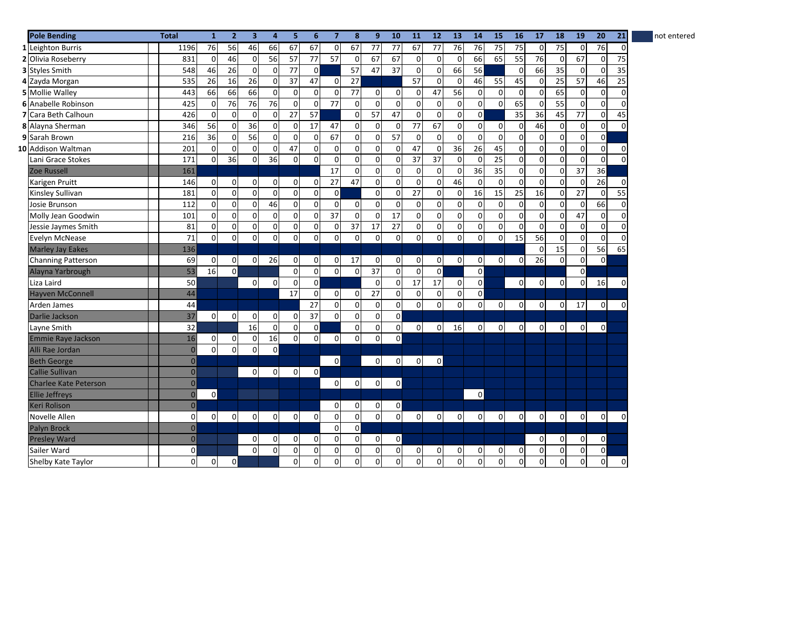| <b>Pole Bending</b>          | <b>Total</b>       | $\mathbf{1}$ | $\overline{2}$ | $\overline{\mathbf{3}}$ | 4              | 5              | 6              | $\overline{7}$ | 8              | 9               | 10             | 11           | 12             | 13              | 14             | 15           | 16              | 17          | 18             | 19              | 20             | 21          | not entered |
|------------------------------|--------------------|--------------|----------------|-------------------------|----------------|----------------|----------------|----------------|----------------|-----------------|----------------|--------------|----------------|-----------------|----------------|--------------|-----------------|-------------|----------------|-----------------|----------------|-------------|-------------|
| 1 Leighton Burris            | 1196               | 76           | 56             | 46                      | 66             | 67             | 67             | $\overline{0}$ | 67             | 77              | 77             | 67           | 77             | 76              | 76             | 75           | $\overline{75}$ | $\mathbf 0$ | 75             | $\mathbf 0$     | 76             | 0           |             |
| 2 Olivia Roseberry           | 831                | $\mathbf 0$  | 46             | $\overline{0}$          | 56             | 57             | 77             | 57             | $\overline{0}$ | 67              | 67             | $\mathbf 0$  | $\Omega$       | $\mathbf 0$     | 66             | 65           | 55              | 76          | $\overline{0}$ | 67              | $\mathbf 0$    | 75          |             |
| 3 Styles Smith               | 548                | 46           | 26             | $\overline{0}$          | 0              | 77             | $\mathbf 0$    |                | 57             | 47              | 37             | $\pmb{0}$    | $\mathbf 0$    | 66              | 56             |              | $\overline{0}$  | 66          | 35             | $\overline{0}$  | $\mathbf 0$    | 35          |             |
| 4 Zayda Morgan               | 535                | 26           | 16             | 26                      | $\mathbf 0$    | 37             | 47             | $\overline{0}$ | 27             |                 |                | 57           | $\Omega$       | $\mathbf 0$     | 46             | 55           | 45              | $\mathbf 0$ | 25             | 57              | 46             | 25          |             |
| 5 Mollie Walley              | 443                | 66           | 66             | 66                      | $\mathbf 0$    | $\pmb{0}$      | $\mathbf 0$    | $\mathbf 0$    | 77             | $\mathbf 0$     | $\overline{0}$ | 0            | 47             | 56              | $\Omega$       | 0            | $\mathbf 0$     | $\mathbf 0$ | 65             | $\overline{0}$  | $\mathbf 0$    | $\mathbf 0$ |             |
| 6 Anabelle Robinson          | 425                | $\mathbf 0$  | 76             | 76                      | 76             | 0              | $\mathbf 0$    | 77             | $\mathbf 0$    | 0               | 0              | 0            | $\mathbf 0$    | $\pmb{0}$       | 0              | 0            | 65              | $\mathbf 0$ | 55             | $\overline{0}$  | $\mathbf 0$    | $\mathbf 0$ |             |
| <b>7</b> Cara Beth Calhoun   | 426                | $\mathbf 0$  | $\Omega$       | $\Omega$                | $\mathbf 0$    | 27             | 57             |                | $\mathbf{0}$   | 57              | 47             | $\mathbf 0$  | $\Omega$       | $\mathbf 0$     | $\Omega$       |              | 35              | 36          | 45             | 77              | $\mathbf 0$    | 45          |             |
| 8 Alayna Sherman             | 346                | 56           | $\mathbf 0$    | 36                      | $\mathbf 0$    | $\mathbf 0$    | 17             | 47             | $\mathbf 0$    | 0               | $\Omega$       | 77           | 67             | $\pmb{0}$       | $\Omega$       | 0            | $\mathbf 0$     | 46          | $\overline{0}$ | $\overline{0}$  | $\mathbf 0$    | $\Omega$    |             |
| 9 Sarah Brown                | 216                | 36           | $\mathbf 0$    | 56                      | $\mathbf 0$    | 0              | $\Omega$       | 67             | $\overline{0}$ | $\mathbf 0$     | 57             | $\Omega$     | $\Omega$       | $\mathbf{0}$    | $\Omega$       | $\mathbf 0$  | $\Omega$        | $\mathbf 0$ | $\overline{0}$ | $\overline{0}$  | $\mathbf 0$    |             |             |
| 10 Addison Waltman           | 201                | $\mathbf 0$  | $\mathbf 0$    | $\mathbf 0$             | $\overline{0}$ | 47             | $\mathbf 0$    | $\mathbf 0$    | $\mathbf 0$    | 0               | $\Omega$       | 47           | $\mathbf 0$    | $\overline{36}$ | 26             | 45           | $\mathbf 0$     | $\mathbf 0$ | $\overline{0}$ | $\pmb{0}$       | $\mathbf 0$    | 0           |             |
| Lani Grace Stokes            | 171                | $\mathbf 0$  | 36             | $\mathbf 0$             | 36             | 0              | $\Omega$       | 0              | $\mathbf 0$    | 0               | $\Omega$       | 37           | 37             | $\mathbf 0$     | $\Omega$       | 25           | $\mathbf 0$     | $\mathbf 0$ | $\overline{0}$ | 0               | $\mathbf 0$    | $\Omega$    |             |
| <b>Zoe Russell</b>           | 161                |              |                |                         |                |                |                | 17             | $\mathbf 0$    | 0               | $\Omega$       | 0            | $\mathbf 0$    | $\mathbf 0$     | 36             | 35           | $\mathbf 0$     | 0           | $\overline{0}$ | 37              | 36             |             |             |
| Karigen Pruitt               | 146                | $\mathbf 0$  | $\mathbf 0$    | $\Omega$                | $\mathbf 0$    | 0              | $\Omega$       | 27             | 47             | $\mathbf 0$     | $\Omega$       | 0            | $\mathbf 0$    | 46              | $\Omega$       | $\mathbf 0$  | $\mathbf 0$     | $\mathbf 0$ | $\overline{0}$ | $\mathbf 0$     | 26             | $\Omega$    |             |
| Kinsley Sullivan             | 181                | $\mathbf 0$  | $\mathbf 0$    | $\Omega$                | $\Omega$       | 0              | $\Omega$       | $\Omega$       |                | 0               | $\Omega$       | 27           | $\mathbf 0$    | $\mathbf 0$     | 16             | 15           | $\overline{25}$ | 16          | $\Omega$       | $\overline{27}$ | $\mathbf 0$    | 55          |             |
| Josie Brunson                | 112                | $\mathbf 0$  | $\mathbf 0$    | $\Omega$                | 46             | $\mathbf 0$    | $\Omega$       | $\Omega$       | $\overline{0}$ | 0               | $\Omega$       | 0            | $\mathbf 0$    | $\mathbf 0$     | $\Omega$       | 0            | $\mathbf 0$     | $\mathbf 0$ | $\Omega$       | $\overline{0}$  | 66             | $\Omega$    |             |
| Molly Jean Goodwin           | 101                | $\mathbf 0$  | $\mathbf 0$    | $\Omega$                | $\mathbf 0$    | 0              | $\mathbf 0$    | 37             | $\mathbf 0$    | $\mathbf 0$     | 17             | 0            | $\mathbf 0$    | $\mathbf 0$     | $\Omega$       | 0            | $\mathbf 0$     | $\mathbf 0$ | $\overline{0}$ | 47              | $\mathbf 0$    | $\mathbf 0$ |             |
| Jessie Jaymes Smith          | 81                 | $\mathbf 0$  | $\mathsf 0$    | $\overline{0}$          | $\mathbf 0$    | 0              | $\mathbf 0$    | $\mathbf 0$    | 37             | $\overline{17}$ | 27             | $\mathbf 0$  | $\overline{0}$ | $\pmb{0}$       | $\Omega$       | 0            | $\Omega$        | $\mathbf 0$ | $\Omega$       | $\mathbf{0}$    | $\mathbf 0$    | $\mathbf 0$ |             |
| Evelyn McNease               | 71                 | $\mathbf 0$  | $\mathbf 0$    | $\Omega$                | $\Omega$       | 0              | $\mathbf 0$    | $\mathbf 0$    | $\mathbf 0$    | $\mathbf 0$     | $\mathbf 0$    | $\mathbf 0$  | $\Omega$       | $\mathbf 0$     | $\Omega$       | $\mathbf 0$  | 15              | 56          | $\overline{0}$ | $\mathbf{0}$    | $\mathbf 0$    | $\Omega$    |             |
| <b>Marley Jay Eakes</b>      | 136                |              |                |                         |                |                |                |                |                |                 |                |              |                |                 |                |              |                 | $\Omega$    | 15             | $\overline{0}$  | 56             | 65          |             |
| <b>Channing Patterson</b>    | 69                 | $\mathbf 0$  | $\mathbf 0$    | $\overline{0}$          | 26             | $\mathbf 0$    | $\overline{0}$ | $\overline{0}$ | 17             | 0               | $\overline{0}$ | $\mathbf 0$  | $\overline{0}$ | $\mathbf 0$     | $\Omega$       | $\mathbf 0$  | $\overline{0}$  | 26          | $\Omega$       | $\overline{0}$  | $\mathbf 0$    |             |             |
| Alayna Yarbrough             | 53                 | 16           | $\mathbf 0$    |                         |                | $\pmb{0}$      | $\mathbf 0$    | $\circ$        | $\mathbf 0$    | $\overline{37}$ | $\Omega$       | 0            | $\pmb{0}$      |                 | $\overline{0}$ |              |                 |             |                | $\overline{0}$  |                |             |             |
| Liza Laird                   | 50                 |              |                | $\mathbf 0$             | $\mathbf 0$    | $\mathbf 0$    | $\mathbf 0$    |                |                | $\Omega$        | $\Omega$       | 17           | 17             | $\mathbf 0$     | $\mathbf{0}$   |              | $\mathbf{0}$    | 0           | $\Omega$       | $\mathbf{0}$    | 16             | C           |             |
| <b>Hayven McConnell</b>      | 44                 |              |                |                         |                | 17             | $\Omega$       | $\mathsf{o}$   | $\overline{0}$ | 27              | $\Omega$       | 0            | $\mathbf 0$    | 0               | $\overline{0}$ |              |                 |             |                |                 |                |             |             |
| Arden James                  | 44                 |              |                |                         |                |                | 27             | $\Omega$       | $\mathbf 0$    | 0               | $\Omega$       | $\mathbf 0$  | $\Omega$       | $\mathbf 0$     | $\Omega$       | $\mathbf{0}$ | $\Omega$        | $\Omega$    | $\Omega$       | 17              | $\overline{0}$ | $\Omega$    |             |
| Darlie Jackson               | 37                 | $\Omega$     | $\Omega$       | $\overline{0}$          | $\mathbf 0$    | 0              | 37             | $\Omega$       | $\mathbf{0}$   | 0               | $\Omega$       |              |                |                 |                |              |                 |             |                |                 |                |             |             |
| Layne Smith                  | 32                 |              |                | 16                      | $\mathbf 0$    | 0              | $\mathbf 0$    |                | $\mathbf 0$    | 0               | $\mathbf{0}$   | $\mathbf{0}$ | $\overline{0}$ | 16              | $\Omega$       | $\mathbf 0$  | $\overline{0}$  | $\mathbf 0$ | $\overline{0}$ | $\mathbf{0}$    | $\mathbf 0$    |             |             |
| <b>Emmie Raye Jackson</b>    | 16                 | $\mathbf 0$  | $\mathbf 0$    | $\overline{0}$          | 16             | 0              | $\Omega$       | $\mathbf 0$    | $\Omega$       | 0               | $\Omega$       |              |                |                 |                |              |                 |             |                |                 |                |             |             |
| Alli Rae Jordan              | $\pmb{0}$          | $\Omega$     | $\mathbf 0$    | $\Omega$                | $\mathbf 0$    |                |                |                |                |                 |                |              |                |                 |                |              |                 |             |                |                 |                |             |             |
| <b>Beth George</b>           | $\pmb{\mathsf{O}}$ |              |                |                         |                |                |                | $\mathbf 0$    |                | 0               | $\Omega$       | $\mathbf{0}$ | $\Omega$       |                 |                |              |                 |             |                |                 |                |             |             |
| <b>Callie Sullivan</b>       | $\mathbf 0$        |              |                | $\overline{0}$          | $\mathbf 0$    | $\overline{0}$ | $\mathbf 0$    |                |                |                 |                |              |                |                 |                |              |                 |             |                |                 |                |             |             |
| <b>Charlee Kate Peterson</b> | $\overline{0}$     |              |                |                         |                |                |                | $\overline{0}$ | $\overline{0}$ | 0               | $\circ$        |              |                |                 |                |              |                 |             |                |                 |                |             |             |
| <b>Ellie Jeffreys</b>        | $\mathbf 0$        | $\mathbf 0$  |                |                         |                |                |                |                |                |                 |                |              |                |                 | $\mathsf{o}$   |              |                 |             |                |                 |                |             |             |
| Keri Rolison                 | $\overline{0}$     |              |                |                         |                |                |                | 0              | 0              | 0               | $\mathbf{0}$   |              |                |                 |                |              |                 |             |                |                 |                |             |             |
| <b>Novelle Allen</b>         | $\mathbf 0$        | $\mathbf 0$  | $\mathbf 0$    | $\overline{0}$          | $\mathbf 0$    | $\mathbf 0$    | $\Omega$       | $\overline{0}$ | $\mathbf 0$    | 0               | $\overline{0}$ | $\mathbf 0$  | $\mathbf 0$    | $\mathbf 0$     | $\mathbf 0$    | $\mathbf{0}$ | $\overline{0}$  | 0           | $\overline{0}$ | $\mathbf 0$     | $\overline{0}$ | 0           |             |
| Palyn Brock                  | $\mathbf 0$        |              |                |                         |                |                |                | $\mathbf 0$    | $\mathbf 0$    |                 |                |              |                |                 |                |              |                 |             |                |                 |                |             |             |
| <b>Presley Ward</b>          | $\pmb{\mathsf{O}}$ |              |                | $\mathbf 0$             | 0              | $\mathbf 0$    | $\mathbf 0$    | 0              | $\mathbf 0$    | 0               | $\mathbf{0}$   |              |                |                 |                |              |                 | $\mathbf 0$ | $\overline{0}$ | $\mathbf 0$     | $\mathbf 0$    |             |             |
| Sailer Ward                  | $\mathbf 0$        |              |                | $\Omega$                | $\Omega$       | 0              | $\Omega$       | $\mathbf 0$    | $\mathbf 0$    | 0               | $\overline{0}$ | 0            | $\overline{0}$ | 0               | 0              | 0            | $\mathbf 0$     | 0           | $\Omega$       | $\overline{0}$  | $\mathbf 0$    |             |             |
| Shelby Kate Taylor           | 0                  | $\mathbf 0$  | 0              |                         |                | 0              | 0              | $\mathbf 0$    | $\Omega$       | 0               | 0              | 0            | $\overline{0}$ | $\Omega$        | $\Omega$       | $\mathbf 0$  | $\Omega$        | 0           | $\overline{0}$ | $\mathbf 0$     | $\mathbf 0$    | 0           |             |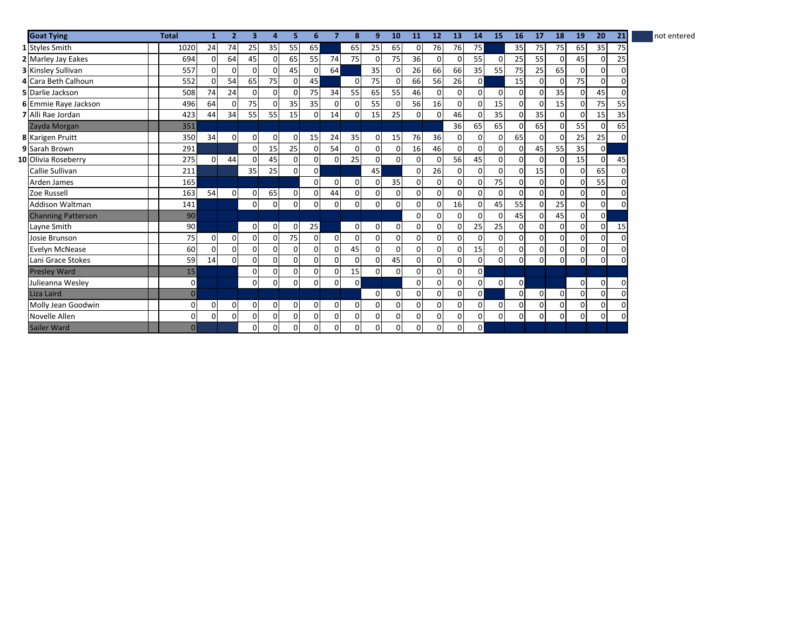| <b>Goat Tying</b>         | <b>Total</b>   | 1              | $\overline{\phantom{a}}$ | 3              | Δ              | 5              | 6              | 7              | 8              | 9           | 10             | 11             | 12           | 13          | 14        | 15           | 16             | 17       | 18       | 19             | 20             | 21       | not entered |
|---------------------------|----------------|----------------|--------------------------|----------------|----------------|----------------|----------------|----------------|----------------|-------------|----------------|----------------|--------------|-------------|-----------|--------------|----------------|----------|----------|----------------|----------------|----------|-------------|
| 1 Styles Smith            | 1020           | 24             | 74                       | 25             | 35             | 55             | 65             |                | 65             | 25          | 65             | 0              | 76           | 76          | <b>75</b> |              | 35             | 75       | 75       | 65             | 35             | 75       |             |
| 2 Marley Jay Eakes        | 694            | $\overline{0}$ | 64                       | 45             | $\Omega$       | 65             | 55             | 74             | 75             | 0           | 75             | 36             | 0            | $\Omega$    | 55        | $\Omega$     | 25             | 55       | 0        | 45             | 0              | 25       |             |
| <b>3 Kinsley Sullivan</b> | 557            | $\Omega$       | $\Omega$                 | O              | $\Omega$       | 45             | C              | 64             |                | 35          | $\Omega$       | 26             | 66           | 66          | 35        | 55           | 75             | 25       | 65       | $\Omega$       | $\Omega$       | $\Omega$ |             |
| 4 Cara Beth Calhoun       | 552            | 0              | 54                       | 65             | 75             | 0              | 45             |                | $\overline{0}$ | 75          | 0              | 66             | 56           | 26          | $\Omega$  |              | 15             | $\Omega$ | 0        | 75             | $\Omega$       | $\Omega$ |             |
| 5 Darlie Jackson          | 508            | 74             | 24                       | $\Omega$       | $\mathbf 0$    | $\Omega$       | 75             | 34             | 55             | 65          | 55             | 46             | $\Omega$     | 0           | $\Omega$  | $\Omega$     | $\Omega$       | $\Omega$ | 35       | $\Omega$       | 45             | $\Omega$ |             |
| 6 Emmie Raye Jackson      | 496            | 64             | $\mathbf 0$              | 75             | $\Omega$       | 35             | 35             | $\overline{0}$ | $\overline{0}$ | 55          | 0              | 56             | 16           | $\pmb{0}$   |           | 15           | $\Omega$       | $\Omega$ | 15       | $\mathbf{0}$   | 75             | 55       |             |
| <b>7</b> Alli Rae Jordan  | 423            | 44             | 34                       | 55             | 55             | 15             |                | 14             | $\overline{0}$ | 15          | 25             | 0              | <sup>0</sup> | 46          |           | 35           | $\Omega$       | 35       | $\Omega$ | $\Omega$       | 15             | 35       |             |
| Zayda Morgan              | 351            |                |                          |                |                |                |                |                |                |             |                |                |              | 36          | 65        | 65           | $\Omega$       | 65       | $\Omega$ | 55             | $\mathbf 0$    | 65       |             |
| 8 Karigen Pruitt          | 350            | 34             | $\mathbf 0$              | $\overline{0}$ | $\mathbf 0$    | 0              | 15             | 24             | 35             | 0           | 15             | 76             | 36           | $\mathbf 0$ | $\Omega$  | $\mathbf{0}$ | 65             | 0        | $\Omega$ | 25             | 25             | $\Omega$ |             |
| 9 Sarah Brown             | 291            |                |                          | $\Omega$       | 15             | 25             | $\Omega$       | 54             | $\overline{0}$ | 0           | $\Omega$       | 16             | 46           | 0           |           | 0            | $\overline{0}$ | 45       | 55       | 35             | $\overline{0}$ |          |             |
| 10 Olivia Roseberry       | 275            | $\Omega$       | 44                       | O              | 45             | 0              | $\Omega$       | 01             | 25             | 0           | $\Omega$       | 0              | $\Omega$     | 56          | 45        | $\Omega$     | $\Omega$       | $\Omega$ | $\Omega$ | 15             | $\Omega$       | 45       |             |
| Callie Sullivan           | 211            |                |                          | 35             | 25             | $\Omega$       | $\Omega$       |                |                | 45          |                | 0              | 26           | $\Omega$    |           | 0            | $\Omega$       | 15       | $\Omega$ | $\Omega$       | 65             | $\Omega$ |             |
| Arden James               | 165            |                |                          |                |                |                | $\Omega$       | $\overline{0}$ | $\mathbf 0$    | 0           | 35             | $\overline{0}$ | $\Omega$     | 0           |           | 75           | $\Omega$       | $\Omega$ | $\Omega$ | $\mathbf{0}$   | 55             | $\Omega$ |             |
| Zoe Russell               | 163            | 54             | $\mathbf 0$              | $\Omega$       | 65             | $\mathbf 0$    | 0              | 44             | $\overline{0}$ | 0           | $\overline{0}$ | 0              | 0            | 0           |           | 0            | $\overline{0}$ | $\Omega$ | $\Omega$ | $\overline{0}$ | 0              | O        |             |
| <b>Addison Waltman</b>    | 141            |                |                          | 0              | 0              | 0              | 0              | 0              | $\overline{0}$ | 0           | 0              | 0              |              | 16          |           | 45           | 55             | $\Omega$ | 25       | $\overline{0}$ | $\overline{0}$ | $\Omega$ |             |
| <b>Channing Patterson</b> | 90             |                |                          |                |                |                |                |                |                |             |                | 0              | $\Omega$     | $\Omega$    |           | $\Omega$     | 45             | $\Omega$ | 45       | $\mathbf{0}$   | $\overline{0}$ |          |             |
| Layne Smith               | 90             |                |                          | $\overline{0}$ | $\mathbf 0$    | 0              | 25             |                | $\overline{0}$ | $\mathbf 0$ | $\Omega$       | $\overline{0}$ | $\Omega$     | $\mathbf 0$ | 25        | 25           | $\Omega$       | $\Omega$ | $\Omega$ | $\mathbf 0$    | $\mathbf 0$    | 15       |             |
| Josie Brunson             | 75             | $\mathbf 0$    | $\mathbf 0$              | $\Omega$       | $\overline{0}$ | 75             | $\Omega$       | $\Omega$       | $\mathbf{0}$   | 0           | $\Omega$       | $\Omega$       | 0            | 0           |           | 0            | $\Omega$       | $\Omega$ | $\Omega$ | $\mathbf{0}$   | 0              | $\Omega$ |             |
| Evelyn McNease            | 60             | $\Omega$       | $\Omega$                 | $\Omega$       | $\Omega$       | 0              | $\Omega$       | $\Omega$       | 45             | $\Omega$    | $\Omega$       | $\Omega$       | $\Omega$     | $\Omega$    | 15        | $\Omega$     | $\Omega$       | $\Omega$ | $\Omega$ | 0              | $\Omega$       | $\Omega$ |             |
| Lani Grace Stokes         | 59             | 14             | $\Omega$                 | $\Omega$       | $\Omega$       | 0              | $\Omega$       | $\Omega$       | $\Omega$       | $\Omega$    | 45             | 0              | $\Omega$     | $\Omega$    |           | 0            | $\Omega$       | $\Omega$ | ΩI       | 0              | $\Omega$       | $\Omega$ |             |
| <b>Presley Ward</b>       | 15             |                |                          | $\Omega$       | $\overline{0}$ | $\overline{0}$ | $\overline{0}$ | 0              | 15             | $\mathbf 0$ | $\Omega$       | $\overline{0}$ | $\Omega$     | 0           | $\Omega$  |              |                |          |          |                |                |          |             |
| Julieanna Wesley          | $\mathbf 0$    |                |                          | $\Omega$       | $\Omega$       | 0              | $\Omega$       | 0              | $\mathbf{0}$   |             |                | $\Omega$       | 0            | 0           | 0         | 0            | $\overline{0}$ |          |          | $\overline{0}$ | $\mathbf 0$    | $\Omega$ |             |
| Liza Laird                | $\mathbf 0$    |                |                          |                |                |                |                |                |                | $\Omega$    | $\Omega$       | $\Omega$       | 0            | 0           | $\Omega$  |              | $\Omega$       | $\Omega$ | $\Omega$ | $\mathbf 0$    | $\Omega$       | $\Omega$ |             |
| Molly Jean Goodwin        | $\mathbf 0$    | $\overline{0}$ | 0                        | $\Omega$       | 0              | 0              | $\Omega$       | 0              | $\overline{0}$ | 0           | $\Omega$       | 0              | $\Omega$     | $\Omega$    |           | 0            | $\Omega$       | $\Omega$ | 0        | $\mathbf 0$    | 0              | $\Omega$ |             |
| Novelle Allen             | $\mathbf 0$    | $\Omega$       | $\Omega$                 | $\Omega$       | $\overline{0}$ | $\overline{0}$ | $\Omega$       | $\Omega$       | $\overline{0}$ | 0           | $\Omega$       | 0              | 0            | $\mathbf 0$ | $\Omega$  | $\Omega$     | $\Omega$       | $\Omega$ | 0        | $\Omega$       | $\Omega$       | $\Omega$ |             |
| Sailer Ward               | $\overline{0}$ |                |                          | 0              | $\mathbf 0$    | 0              | 0              | 0              | $\overline{0}$ | 0           | 0              | 0              | $\Omega$     | 0           | ٥I        |              |                |          |          |                |                |          |             |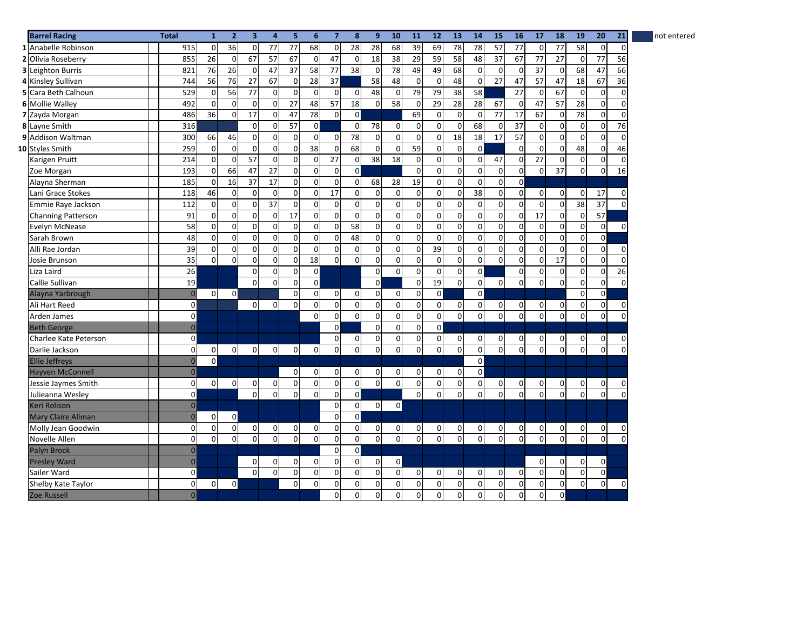| <b>Barrel Racing</b>      | <b>Total</b>        | $\mathbf{1}$   | $\overline{2}$ | $\overline{\mathbf{3}}$ | 4               | 5            | 6              | $\overline{7}$      | 8               | 9               | 10             | 11             | 12             | 13              | 14             | 15                      | 16              | 17              | 18              | 19              | 20           | 21          | not entered |
|---------------------------|---------------------|----------------|----------------|-------------------------|-----------------|--------------|----------------|---------------------|-----------------|-----------------|----------------|----------------|----------------|-----------------|----------------|-------------------------|-----------------|-----------------|-----------------|-----------------|--------------|-------------|-------------|
| 1 Anabelle Robinson       | 915                 | $\mathbf 0$    | 36             | $\overline{0}$          | 77              | 77           | 68             | $\overline{0}$      | 28              | $\overline{28}$ | 68             | 39             | 69             | 78              | 78             | 57                      | 77              | $\mathsf 0$     | $\overline{77}$ | 58              | $\mathbf 0$  | $\mathbf 0$ |             |
| 2 Olivia Roseberry        | 855                 | 26             | $\mathbf 0$    | 67                      | 57              | 67           | $\mathbf 0$    | 47                  | $\overline{0}$  | 18              | 38             | 29             | 59             | 58              | 48             | $\overline{37}$         | 67              | 77              | $\overline{27}$ | $\mathbf 0$     | 77           | 56          |             |
| <b>3</b> Leighton Burris  | 821                 | 76             | 26             | $\mathbf 0$             | 47              | 37           | 58             | 77                  | $\overline{38}$ | $\mathsf 0$     | 78             | 49             | 49             | 68              | 0              | $\mathbf{0}$            | $\overline{0}$  | $\overline{37}$ | $\overline{0}$  | 68              | 47           | 66          |             |
| 4 Kinsley Sullivan        | 744                 | 56             | 76             | 27                      | 67              | $\mathbf 0$  | 28             | 37                  |                 | 58              | 48             | 0              | $\mathbf 0$    | 48              | $\Omega$       | 27                      | 47              | 57              | 47              | 18              | 67           | 36          |             |
| 5 Cara Beth Calhoun       | 529                 | $\mathbf 0$    | 56             | 77                      | $\mathbf 0$     | $\mathbf 0$  | $\Omega$       | $\mathbf 0$         | $\mathbf 0$     | 48              | $\mathbf 0$    | 79             | 79             | 38              | 58             |                         | 27              | $\mathbf 0$     | 67              | $\mathbf 0$     | $\mathbf 0$  | $\Omega$    |             |
| 6 Mollie Walley           | 492                 | $\mathbf 0$    | $\mathbf 0$    | $\mathbf 0$             | $\mathbf 0$     | 27           | 48             | 57                  | 18              | 0               | 58             | $\mathsf 0$    | 29             | $\overline{28}$ | 28             | 67                      | $\mathbf 0$     | 47              | 57              | $\overline{28}$ | $\mathbf 0$  | $\mathbf 0$ |             |
| 7 Zayda Morgan            | 486                 | 36             | $\mathbf 0$    | 17                      | $\mathbf 0$     | 47           | 78             | $\overline{0}$      | $\mathbf 0$     |                 |                | 69             | $\mathbf 0$    | $\mathbf 0$     | $\Omega$       | $\overline{77}$         | $\overline{17}$ | 67              | 0               | $\overline{78}$ | $\mathbf 0$  | $\mathbf 0$ |             |
| 8 Layne Smith             | 316                 |                |                | $\mathbf 0$             | $\Omega$        | 57           | $\Omega$       |                     | $\Omega$        | 78              | $\Omega$       | $\Omega$       | $\mathbf 0$    | $\mathbf 0$     | 68             | 0                       | 37              | 0               | $\overline{0}$  | $\overline{0}$  | $\mathbf 0$  | 76          |             |
| 9 Addison Waltman         | 300                 | 66             | 46             | $\Omega$                | $\mathbf 0$     | $\mathbf 0$  | $\Omega$       | $\Omega$            | 78              | 0               | $\Omega$       | 0              | $\overline{0}$ | 18              | 18             | 17                      | 57              | $\mathbf 0$     | $\Omega$        | 0               | 0            | $\Omega$    |             |
| 10 Styles Smith           | 259                 | $\mathbf 0$    | $\mathbf 0$    | $\mathbf 0$             | $\mathbf 0$     | $\mathbf 0$  | 38             | $\mathbf 0$         | 68              | 0               | $\Omega$       | 59             | $\mathbf 0$    | $\mathbf 0$     | $\overline{0}$ |                         | $\overline{0}$  | $\mathbf 0$     | $\overline{0}$  | 48              | $\mathbf 0$  | 46          |             |
| Karigen Pruitt            | 214                 | $\mathbf 0$    | $\mathbf 0$    | 57                      | $\mathbf 0$     | 0            | $\mathbf 0$    | 27                  | $\overline{0}$  | 38              | 18             | 0              | $\mathbf 0$    | $\mathbf 0$     | $\Omega$       | 47                      | $\mathbf 0$     | 27              | $\overline{0}$  | $\overline{0}$  | $\mathbf{0}$ | $\mathbf 0$ |             |
| Zoe Morgan                | 193                 | $\mathbf 0$    | 66             | 47                      | 27              | 0            | $\Omega$       | $\mathbf 0$         | $\Omega$        |                 |                | 0              | $\Omega$       | $\mathbf 0$     | $\Omega$       | $\mathbf 0$             | $\Omega$        | $\mathbf 0$     | 37              | $\overline{0}$  | $\mathbf 0$  | 16          |             |
| Alayna Sherman            | 185                 | $\mathbf 0$    | 16             | 37                      | 17              | 0            | $\Omega$       | $\mathbf 0$         | $\mathbf{0}$    | 68              | 28             | 19             | $\mathbf 0$    | $\mathbf 0$     | $\Omega$       | 0                       | $\mathbf 0$     |                 |                 |                 |              |             |             |
| Lani Grace Stokes         | 118                 | 46             | $\pmb{0}$      | $\mathbf 0$             | $\mathbf 0$     | 0            | $\mathbf 0$    | $\overline{17}$     | $\mathbf 0$     | $\pmb{0}$       | $\Omega$       | 0              | $\mathbf 0$    | $\pmb{0}$       | 38             | 0                       | $\overline{0}$  | $\mathsf{O}$    | $\overline{0}$  | $\overline{0}$  | 17           | 0           |             |
| Emmie Raye Jackson        | 112                 | $\mathbf 0$    | $\mathbf 0$    | $\mathbf 0$             | $\overline{37}$ | 0            | $\mathbf 0$    | $\mathbf 0$         | $\mathsf{O}$    | 0               | $\mathbf 0$    | $\mathbf 0$    | $\mathbf 0$    | $\pmb{0}$       | $\mathbf 0$    | $\overline{0}$          | $\mathbf 0$     | $\mathbf 0$     | $\overline{0}$  | $\overline{38}$ | 37           | $\Omega$    |             |
| <b>Channing Patterson</b> | 91                  | $\mathbf 0$    | $\mathbf 0$    | $\Omega$                | $\mathbf 0$     | 17           | $\Omega$       | $\overline{0}$      | $\Omega$        | $\mathbf 0$     | $\Omega$       | $\mathbf 0$    | $\Omega$       | $\mathbf 0$     | $\Omega$       | $\mathbf{0}$            | $\overline{0}$  | 17              | $\Omega$        | $\mathbf{0}$    | 57           |             |             |
| Evelyn McNease            | 58                  | 0              | $\mathbf 0$    | $\mathbf{0}$            | $\mathbf 0$     | $\mathbf 0$  | $\mathbf 0$    | $\mathsf{o}$        | 58              | 0               | $\Omega$       | 0              | $\mathbf 0$    | $\mathbf 0$     | 0              | $\mathbf{0}$            | $\mathbf 0$     | $\mathbf 0$     | $\overline{0}$  | $\overline{0}$  | $\mathbf 0$  | $\Omega$    |             |
| Sarah Brown               | 48                  | $\mathbf 0$    | $\mathbf 0$    | $\overline{0}$          | $\mathbf 0$     | $\mathbf 0$  | $\mathbf 0$    | $\mathsf{o}$        | 48              | 0               | $\Omega$       | $\mathbf 0$    | $\mathbf 0$    | $\mathbf 0$     | $\Omega$       | $\overline{\mathbf{0}}$ | $\mathbf 0$     | $\mathbf 0$     | $\overline{0}$  | $\overline{0}$  | $\mathbf 0$  |             |             |
| Alli Rae Jordan           | $\overline{39}$     | $\mathbf 0$    | $\mathbf 0$    | $\mathbf 0$             | $\mathbf 0$     | 0            | $\overline{0}$ | 0                   | $\mathbf 0$     | 0               | $\mathbf{0}$   | 0              | 39             | $\pmb{0}$       | $\overline{0}$ | 0                       | $\overline{0}$  | 0               | $\overline{0}$  | $\overline{0}$  | $\mathbf 0$  | 0           |             |
| Josie Brunson             | 35                  | $\Omega$       | $\Omega$       | $\Omega$                | $\Omega$        | $\Omega$     | 18             | $\Omega$            | $\Omega$        | $\Omega$        | $\Omega$       | $\Omega$       | $\Omega$       | $\Omega$        | $\Omega$       | $\Omega$                | $\Omega$        | $\Omega$        | 17              | $\Omega$        | $\Omega$     | $\Omega$    |             |
| Liza Laird                | 26                  |                |                | $\mathbf{0}$            | $\mathbf 0$     | 0            | $\mathbf 0$    |                     |                 | 0               | $\Omega$       | 0              | $\Omega$       | $\mathbf 0$     | $\Omega$       |                         | $\Omega$        | 0               | $\overline{0}$  | $\overline{0}$  | $\mathbf 0$  | 26          |             |
| Callie Sullivan           | 19                  |                |                | $\mathbf{0}$            | $\mathbf 0$     | 0            | $\mathbf 0$    |                     |                 | 0               |                | 0              | 19             | $\Omega$        | $\Omega$       | $\overline{0}$          | $\mathbf 0$     | $\mathbf 0$     | $\Omega$        | $\mathbf 0$     | $\mathbf 0$  | $\Omega$    |             |
| Alayna Yarbrough          | $\pmb{\mathsf{O}}$  | $\overline{0}$ | $\mathbf 0$    |                         |                 | 0            | $\mathbf 0$    | <sub>0</sub>        | $\mathbf 0$     | 0               | $\Omega$       | 0              | $\overline{0}$ |                 | $\Omega$       |                         |                 |                 |                 | $\mathbf{0}$    | $\mathbf 0$  |             |             |
| Ali Hart Reed             | $\mathsf{O}\xspace$ |                |                | $\mathbf{0}$            | $\mathbf 0$     | $\Omega$     | $\Omega$       | $\mathbf 0$         | $\mathbf 0$     | 0               | $\Omega$       | $\mathbf 0$    | $\mathbf 0$    | $\pmb{0}$       | 0              | 0                       | $\mathbf 0$     | 0               | $\overline{0}$  | $\mathbf 0$     | $\mathbf 0$  | 0           |             |
| Arden James               | $\mathbf 0$         |                |                |                         |                 |              | $\Omega$       | $\overline{0}$      | $\Omega$        | 0               | $\Omega$       | 0              | $\Omega$       | $\pmb{0}$       | $\Omega$       | $\mathbf 0$             | $\Omega$        | $\Omega$        | $\Omega$        | $\mathbf 0$     | $\Omega$     | $\Omega$    |             |
| <b>Beth George</b>        | $\mathbf 0$         |                |                |                         |                 |              |                | $\mathbf 0$         |                 | 0               | $\Omega$       | 0              | $\mathbf 0$    |                 |                |                         |                 |                 |                 |                 |              |             |             |
| Charlee Kate Peterson     | $\pmb{0}$           |                |                |                         |                 |              |                | $\mathbf 0$         | $\mathbf 0$     | 0               | 0              | 0              | $\pmb{0}$      | $\pmb{0}$       | 0              | 0                       | $\mathbf 0$     | 0               | $\overline{0}$  | 0               | $\mathbf 0$  | 0           |             |
| Darlie Jackson            | $\pmb{0}$           | $\mathbf 0$    | $\mathbf 0$    | $\mathbf 0$             | $\overline{0}$  | $\mathbf 0$  | $\mathbf 0$    | $\mathbf 0$         | $\mathbf 0$     | $\mathbf 0$     | $\Omega$       | 0              | $\mathbf 0$    | $\mathbf 0$     | $\overline{0}$ | $\mathbf 0$             | $\Omega$        | $\Omega$        | 0               | $\Omega$        | $\mathbf 0$  | $\Omega$    |             |
| <b>Ellie Jeffreys</b>     | $\mathbf{0}$        | $\mathbf 0$    |                |                         |                 |              |                |                     |                 |                 |                |                |                |                 | $\mathsf{o}$   |                         |                 |                 |                 |                 |              |             |             |
| <b>Hayven McConnell</b>   | $\pmb{0}$           |                |                |                         |                 | $\mathbf{0}$ | 0              | $\overline{0}$      | $\mathbf 0$     | 0               | $\Omega$       | 0              | $\overline{0}$ | $\mathbf 0$     | $\overline{0}$ |                         |                 |                 |                 |                 |              |             |             |
| Jessie Jaymes Smith       | $\pmb{0}$           | $\mathbf 0$    | $\mathbf 0$    | $\Omega$                | $\mathbf 0$     | 0            | $\Omega$       | $\mathsf{O}\xspace$ | $\mathbf{0}$    | 0               | $\Omega$       | 0              | $\mathbf 0$    | 0               | $\Omega$       | 0                       | $\mathbf 0$     | 0               | $\overline{0}$  | 0               | $\mathbf 0$  | 0           |             |
| Julieanna Wesley          | $\mathbf 0$         |                |                | $\mathbf{0}$            | $\mathbf 0$     | $\mathbf 0$  | $\mathbf 0$    | 0                   | $\mathsf{O}$    |                 |                | 0              | $\mathbf 0$    | $\mathbf 0$     | 0              | $\mathbf 0$             | $\overline{0}$  | $\mathbf 0$     | $\Omega$        | $\mathbf 0$     | $\mathbf 0$  | $\mathbf 0$ |             |
| Keri Rolison              | $\mathbf{0}$        |                |                |                         |                 |              |                | $\mathbf 0$         | $\mathbf 0$     | 0               | $\mathsf{o}$   |                |                |                 |                |                         |                 |                 |                 |                 |              |             |             |
| Mary Claire Allman        | $\mathbf{0}$        | $\mathbf 0$    | $\mathbf 0$    |                         |                 |              |                | $\mathbf{0}$        | $\Omega$        |                 |                |                |                |                 |                |                         |                 |                 |                 |                 |              |             |             |
| Molly Jean Goodwin        | $\mathbf 0$         | 0              | $\mathbf 0$    | $\mathbf 0$             | 0               | 0            | 0              | $\mathbf 0$         | $\mathbf 0$     | 0               | 0              | 0              | 0              | 0               | 0              | 0                       | $\mathbf 0$     | 0               | $\overline{0}$  | 0               | $\mathbf 0$  | 0           |             |
| Novelle Allen             | $\pmb{0}$           | $\mathbf 0$    | $\mathbf 0$    | $\Omega$                | $\mathbf 0$     | $\mathbf 0$  | $\mathbf 0$    | $\mathsf{O}\xspace$ | $\pmb{0}$       | $\mathbf 0$     | $\Omega$       | $\overline{0}$ | $\mathbf{0}$   | $\Omega$        | $\Omega$       | $\overline{0}$          | $\Omega$        | $\Omega$        | $\Omega$        | $\overline{0}$  | $\pmb{0}$    | $\Omega$    |             |
| Palyn Brock               | $\overline{0}$      |                |                |                         |                 |              |                | $\mathbf 0$         | $\mathbf 0$     |                 |                |                |                |                 |                |                         |                 |                 |                 |                 |              |             |             |
| <b>Presley Ward</b>       | $\mathbf 0$         |                |                | $\overline{0}$          | 0               | 0            | 0              | $\overline{0}$      | $\mathbf 0$     | 0               | $\mathbf{0}$   |                |                |                 |                |                         |                 | 0               | $\overline{0}$  | $\overline{0}$  | $\mathbf 0$  |             |             |
| Sailer Ward               | $\pmb{0}$           |                |                | $\mathbf{0}$            | $\mathbf 0$     | 0            | $\mathbf 0$    | $\overline{0}$      | $\mathbf 0$     | 0               | $\overline{0}$ | 0              | $\overline{0}$ | $\pmb{0}$       | 0              | 0                       | $\mathbf 0$     | $\mathbf 0$     | $\overline{0}$  | $\overline{0}$  | $\mathbf 0$  |             |             |
| Shelby Kate Taylor        | 0                   | $\mathbf 0$    | 0              |                         |                 | 0            | $\mathbf 0$    | 0                   | 0               | 0               | 0              | 0              | $\mathbf 0$    | 0               | 0              | 0                       | $\mathbf 0$     | $\mathbf 0$     | $\mathbf{0}$    | $\overline{0}$  | $\mathbf 0$  | 0           |             |
| Zoe Russell               | $\overline{0}$      |                |                |                         |                 |              |                | $\Omega$            | $\Omega$        | $\Omega$        | $\Omega$       | $\mathbf{0}$   | $\Omega$       | 0               | $\Omega$       | $\mathbf 0$             | $\Omega$        | $\Omega$        | $\overline{0}$  |                 |              |             |             |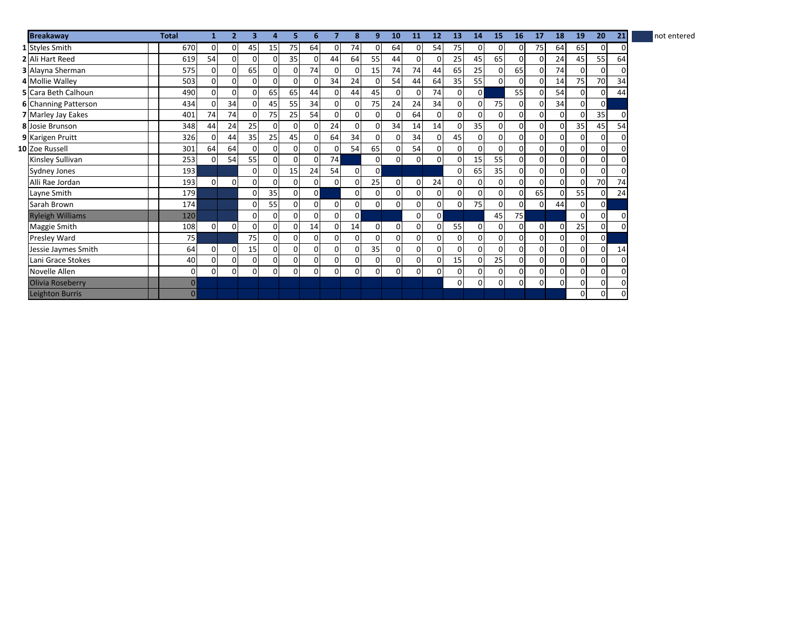| <b>Breakaway</b>           | <b>Total</b>   |          | $\overline{2}$ | з        | 4               |          | 6              |                | 8              | 9              | 10             | 11             | 12             | 13             | 14       | 15             | 16           | 17       | 18       | 19             | 20             | 21           | not entered |
|----------------------------|----------------|----------|----------------|----------|-----------------|----------|----------------|----------------|----------------|----------------|----------------|----------------|----------------|----------------|----------|----------------|--------------|----------|----------|----------------|----------------|--------------|-------------|
| 1 Styles Smith             | 670            | O        | 0              | 45       | 15 <sub>l</sub> | 75       | 64             | $\overline{0}$ | 74             | 0              | 64             | $\overline{0}$ | 54             | 75             | 01       | $\mathbf{0}$   | 0            | 75       | 64       | 65             | 0              |              |             |
| 2 Ali Hart Reed            | 619            | 54       | 0              | $\Omega$ | $\Omega$        | 35       | $\Omega$       | 44             | 64             | 55             | 44             | $\overline{0}$ | 0              | 25             | 45       | 65             | 0            | $\Omega$ | 24       | 45             | 55             | 64           |             |
| 3 Alayna Sherman           | 575            |          | $\Omega$       | 65       | $\overline{0}$  | $\Omega$ | 74             | $\Omega$       | 0              | 15             | 74             | 74             | 44             | 65             | 25       | $\Omega$       | 65           | $\Omega$ | 74       | $\Omega$       | $\Omega$       |              |             |
| 4 Mollie Walley            | 503            |          | 0              | $\Omega$ | 0               | $\Omega$ | $\mathbf{0}$   | 34             | 24             | 0              | 54             | 44             | 64             | 35             | 55       | $\Omega$       | 0            |          | 14       | 75             | 70             | 34           |             |
| <b>5</b> Cara Beth Calhoun | 490            |          | 0              | 0        | 65              | 65       | 44             | $\overline{0}$ | 44             | 45             | <sub>0</sub>   | $\overline{0}$ | 74             | $\Omega$       | $\Omega$ |                | 55           |          | 54       | $\Omega$       | 0              | 44           |             |
| 6 Channing Patterson       | 434            |          | 34             | 0        | 45              | 55       | 34             | $\overline{0}$ | 0              | 75             | 24             | 24             | 34             | $\overline{0}$ | 0        | 75             | 0            | O        | 34       | $\overline{0}$ | $\overline{0}$ |              |             |
| 7 Marley Jay Eakes         | 401            | 74       | 74             | 0        | 75              | 25       | 54             | $\Omega$       | $\overline{0}$ | $\Omega$       | <sub>0</sub>   | 64             | $\overline{0}$ | $\Omega$       | 0        | $\overline{0}$ | 0            | 0        | 0        | $\Omega$       | 35             |              |             |
| <b>8</b> Josie Brunson     | 348            | 44       | 24             | 25       | $\mathbf{0}$    | 0        | 0              | 24             | $\overline{0}$ | 0              | 34             | 14             | 14             | 0              | 35       | $\overline{0}$ | $\mathsf{o}$ |          | 0        | 35             | 45             | 54           |             |
| 9 Karigen Pruitt           | 326            |          | 44             | 35       | 25              | 45       | $\overline{0}$ | 64             | 34             | $\Omega$       | 0              | 34             | $\overline{0}$ | 45             | 0l       | $\overline{0}$ | 0            | 0        | οI       | 0              | $\overline{0}$ |              |             |
| 10 Zoe Russell             | 301            | 64       | 64             | 0        | $\overline{0}$  | $\Omega$ | $\overline{0}$ | $\overline{0}$ | 54             | 65             | 0              | 54             | $\mathsf{o}$   | $\overline{0}$ | 0l       | $\overline{0}$ | 0            | 0        | 0        | 0              | $\overline{0}$ |              |             |
| Kinsley Sullivan           | 253            |          | 54             | 55       | $\overline{0}$  | $\Omega$ | $\overline{0}$ | 74             |                | 0              | $\overline{0}$ | $\overline{0}$ | $\overline{0}$ | $\Omega$       | 15       | 55             | <sub>0</sub> | 0        | οI       | 0              | $\overline{0}$ |              |             |
| <b>Sydney Jones</b>        | 193            |          |                | 0        | $\mathbf 0$     | 15       | 24             | 54             | $\overline{0}$ | $\overline{0}$ |                |                |                | $\Omega$       | 65       | 35             | 0            | 0        | 0        | $\overline{0}$ | $\overline{0}$ | <sup>0</sup> |             |
| Alli Rae Jordan            | 193            | 0        | $\mathbf{0}$   | 0        | $\mathbf 0$     | $\Omega$ | 0              | $\overline{0}$ | 0              | 25             | 0              | $\overline{0}$ | 24             | $\overline{0}$ | 0l       | $\overline{0}$ | 0            | 0        | 0        | $\Omega$       | 70             | 74           |             |
| Layne Smith                | 179            |          |                | 0        | 35              | $\Omega$ | $\overline{0}$ |                | $\overline{0}$ | $\Omega$       | 0              | $\overline{0}$ | 0              | $\overline{0}$ | 0l       | $\Omega$       | $\mathsf{o}$ | 65       | $\Omega$ | 55             | $\overline{0}$ | 24           |             |
| Sarah Brown                | 174            |          |                | 0        | 55              | $\Omega$ | $\overline{0}$ | $\overline{0}$ | $\mathbf{0}$   | 0              | $\mathsf{o}$   | $\overline{0}$ | $\mathsf{o}$   | $\Omega$       | 75       | $\overline{0}$ | $\mathsf{o}$ | 0        | 44       | $\mathbf 0$    | $\overline{0}$ |              |             |
| <b>Ryleigh Williams</b>    | 120            |          |                | 0        | $\mathbf{0}$    | $\Omega$ | $\overline{0}$ | $\Omega$       | $\Omega$       |                |                | $\overline{0}$ | οI             |                |          | 45             | 75           |          |          | $\Omega$       | οI             |              |             |
| Maggie Smith               | 108            | $\Omega$ | $\overline{0}$ | $\Omega$ | $\mathbf{0}$    | 0        | 14             | $\Omega$       | 14             | $\Omega$       | 0              | $\overline{0}$ | 0              | 55             | 0        | $\overline{0}$ | $\mathsf{o}$ | $\Omega$ | 0        | 25             | οI             | $\Omega$     |             |
| <b>Presley Ward</b>        | 75             |          |                | 75       | $\mathbf{0}$    | $\Omega$ | $\overline{0}$ | $\Omega$       | $\overline{0}$ | 0              | $\mathsf{o}$   | $\overline{0}$ | $\mathsf{o}$   | $\Omega$       | 0        | $\Omega$       | 0            | $\Omega$ | οI       | $\Omega$       | $\Omega$       |              |             |
| Jessie Jaymes Smith        | 64             |          | 0              | 15       | $\overline{0}$  | 0        | $\overline{0}$ | $\Omega$       | 0              | 35             | $\overline{0}$ | $\overline{0}$ | $\mathbf{0}$   | $\Omega$       | 0l       | $\Omega$       | $\mathsf{o}$ | 0        | οI       | 0              | $\overline{0}$ | 14           |             |
| Lani Grace Stokes          | 40             |          | $\Omega$       | 0        | $\overline{0}$  | $\Omega$ | $\overline{0}$ | $\overline{0}$ | $\mathbf{0}$   | $\Omega$       | οI             | $\overline{0}$ | 0              | 15             | 0        | 25             | <sub>0</sub> | $\Omega$ | 0        | $\overline{0}$ | οI             |              |             |
| Novelle Allen              | $\Omega$       | O        | $\Omega$       | $\Omega$ | $\Omega$        | 0        | $\overline{0}$ | $\Omega$       | $\overline{0}$ | 0              | 0              | $\Omega$       | $\mathbf{0}$   | $\Omega$       | οI       | $\Omega$       | $\mathsf{o}$ | 0        | οI       | $\Omega$       | $\overline{0}$ |              |             |
| Olivia Roseberry           | $\overline{0}$ |          |                |          |                 |          |                |                |                |                |                |                |                | $\overline{0}$ | 0        | $\overline{0}$ | οI           | 0        | 01       | $\overline{0}$ | $\overline{0}$ |              |             |
| Leighton Burris            | $\overline{0}$ |          |                |          |                 |          |                |                |                |                |                |                |                |                |          |                |              |          |          | $\Omega$       | $\Omega$       |              |             |